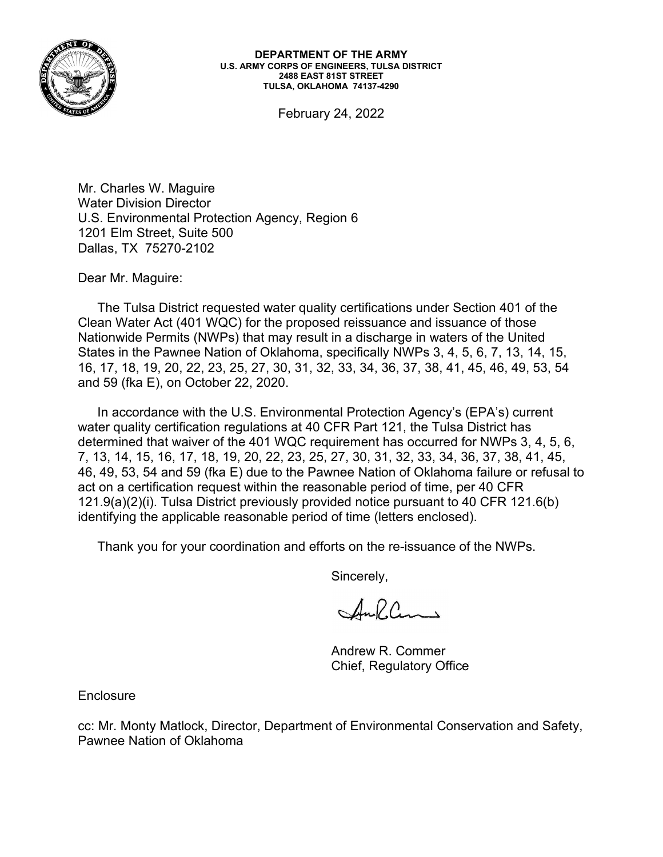

February 24, 2022

Mr. Charles W. Maguire Water Division Director U.S. Environmental Protection Agency, Region 6 1201 Elm Street, Suite 500 Dallas, TX 75270-2102

Dear Mr. Maguire:

**DEPARTMENT OF THE ARMY**<br>
U.S. ARMY CORPS OF ENGINEERS, TULSA DISTRICT<br>
TULSA, OKLAHOMA 74137-4290<br>
February 24, 2022<br>
Charles W. Maguire<br>
Eer Division Director<br>
11 Elm Street, Suite 500<br>
21 February 24, 2022<br>
21 AM: Magui Clean Water Act (401 WQC) for the proposed reissuance and issuance of those Nationwide Permits (NWPs) that may result in a discharge in waters of the United States in the Pawnee Nation of Oklahoma, specifically NWPs 3, 4, 5, 6, 7, 13, 14, 15, 16, 17, 18, 19, 20, 22, 23, 25, 27, 30, 31, 32, 33, 34, 36, 37, 38, 41, 45, 46, 49, 53, 54 February 24, 2022<br>
Mr. Charles W. Maguire<br>
Water Division Director<br>
U.S. Environmental Protection Agency, Region 6<br>
1201 Elm Street, Suite 500<br>
Dallas, TX 75270-2102<br>
Dear Mr. Maguire:<br>
The Tulsa District requested water q

In accordance with the U.S. Environmental Protection Agency's (EPA's) current water quality certification regulations at 40 CFR Part 121, the Tulsa District has determined that waiver of the 401 WQC requirement has occurred for NWPs 3, 4, 5, 6, 7, 13, 14, 15, 16, 17, 18, 19, 20, 22, 23, 25, 27, 30, 31, 32, 33, 34, 36, 37, 38, 41, 45, 46, 49, 53, 54 and 59 (fka E) due to the Pawnee Nation of Oklahoma failure or refusal to act on a certification request within the reasonable period of time, per 40 CFR 121.9(a)(2)(i). Tulsa District previously provided notice pursuant to 40 CFR 121.6(b) identifying the applicable reasonable period of time (letters enclosed).

Thank you for your coordination and efforts on the re-issuance of the NWPs.

Sincerely,

Auflans

Andrew R. Commer Chief, Regulatory Office

**Enclosure** 

cc: Mr. Monty Matlock, Director, Department of Environmental Conservation and Safety, Pawnee Nation of Oklahoma